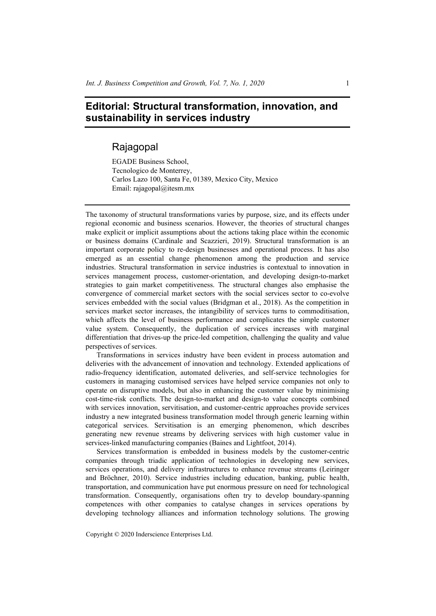## **Editorial: Structural transformation, innovation, and sustainability in services industry**

## Rajagopal

EGADE Business School, Tecnologico de Monterrey, Carlos Lazo 100, Santa Fe, 01389, Mexico City, Mexico Email: rajagopal@itesm.mx

The taxonomy of structural transformations varies by purpose, size, and its effects under regional economic and business scenarios. However, the theories of structural changes make explicit or implicit assumptions about the actions taking place within the economic or business domains (Cardinale and Scazzieri, 2019). Structural transformation is an important corporate policy to re-design businesses and operational process. It has also emerged as an essential change phenomenon among the production and service industries. Structural transformation in service industries is contextual to innovation in services management process, customer-orientation, and developing design-to-market strategies to gain market competitiveness. The structural changes also emphasise the convergence of commercial market sectors with the social services sector to co-evolve services embedded with the social values (Bridgman et al., 2018). As the competition in services market sector increases, the intangibility of services turns to commoditisation, which affects the level of business performance and complicates the simple customer value system. Consequently, the duplication of services increases with marginal differentiation that drives-up the price-led competition, challenging the quality and value perspectives of services.

Transformations in services industry have been evident in process automation and deliveries with the advancement of innovation and technology. Extended applications of radio-frequency identification, automated deliveries, and self-service technologies for customers in managing customised services have helped service companies not only to operate on disruptive models, but also in enhancing the customer value by minimising cost-time-risk conflicts. The design-to-market and design-to value concepts combined with services innovation, servitisation, and customer-centric approaches provide services industry a new integrated business transformation model through generic learning within categorical services. Servitisation is an emerging phenomenon, which describes generating new revenue streams by delivering services with high customer value in services-linked manufacturing companies (Baines and Lightfoot, 2014).

Services transformation is embedded in business models by the customer-centric companies through triadic application of technologies in developing new services, services operations, and delivery infrastructures to enhance revenue streams (Leiringer and Bröchner, 2010). Service industries including education, banking, public health, transportation, and communication have put enormous pressure on need for technological transformation. Consequently, organisations often try to develop boundary-spanning competences with other companies to catalyse changes in services operations by developing technology alliances and information technology solutions. The growing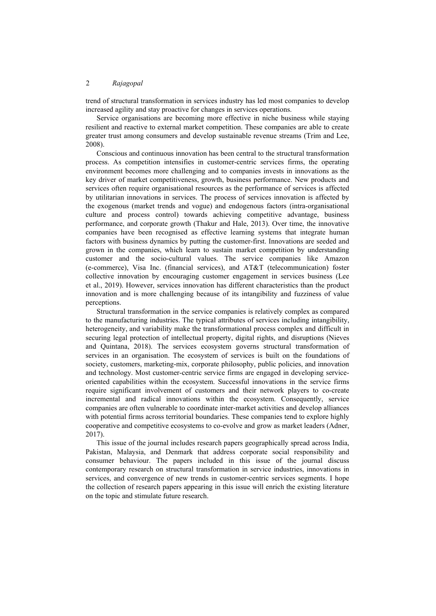trend of structural transformation in services industry has led most companies to develop increased agility and stay proactive for changes in services operations.

Service organisations are becoming more effective in niche business while staying resilient and reactive to external market competition. These companies are able to create greater trust among consumers and develop sustainable revenue streams (Trim and Lee, 2008).

Conscious and continuous innovation has been central to the structural transformation process. As competition intensifies in customer-centric services firms, the operating environment becomes more challenging and to companies invests in innovations as the key driver of market competitiveness, growth, business performance. New products and services often require organisational resources as the performance of services is affected by utilitarian innovations in services. The process of services innovation is affected by the exogenous (market trends and vogue) and endogenous factors (intra-organisational culture and process control) towards achieving competitive advantage, business performance, and corporate growth (Thakur and Hale, 2013). Over time, the innovative companies have been recognised as effective learning systems that integrate human factors with business dynamics by putting the customer-first. Innovations are seeded and grown in the companies, which learn to sustain market competition by understanding customer and the socio-cultural values. The service companies like Amazon (e-commerce), Visa Inc. (financial services), and AT&T (telecommunication) foster collective innovation by encouraging customer engagement in services business (Lee et al., 2019). However, services innovation has different characteristics than the product innovation and is more challenging because of its intangibility and fuzziness of value perceptions.

Structural transformation in the service companies is relatively complex as compared to the manufacturing industries. The typical attributes of services including intangibility, heterogeneity, and variability make the transformational process complex and difficult in securing legal protection of intellectual property, digital rights, and disruptions (Nieves and Quintana, 2018). The services ecosystem governs structural transformation of services in an organisation. The ecosystem of services is built on the foundations of society, customers, marketing-mix, corporate philosophy, public policies, and innovation and technology. Most customer-centric service firms are engaged in developing serviceoriented capabilities within the ecosystem. Successful innovations in the service firms require significant involvement of customers and their network players to co-create incremental and radical innovations within the ecosystem. Consequently, service companies are often vulnerable to coordinate inter-market activities and develop alliances with potential firms across territorial boundaries. These companies tend to explore highly cooperative and competitive ecosystems to co-evolve and grow as market leaders (Adner, 2017).

This issue of the journal includes research papers geographically spread across India, Pakistan, Malaysia, and Denmark that address corporate social responsibility and consumer behaviour. The papers included in this issue of the journal discuss contemporary research on structural transformation in service industries, innovations in services, and convergence of new trends in customer-centric services segments. I hope the collection of research papers appearing in this issue will enrich the existing literature on the topic and stimulate future research.